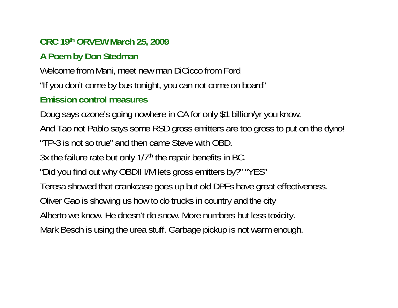## **CRC 19th ORVEW March 25, 2009**

# **A Poem by Don Stedman**

Welcome from Mani, meet new man DiCicco from Ford

"If you don't come by bus tonight, you can not come on board"

# **Emission control measures**

Doug says ozone's going nowhere in CA for only \$1 billion/yr you know.

And Tao not Pablo says some RSD gross emitters are too gross to put on the dyno!

"TP-3 is not so true" and then came Steve with OBD.

3x the failure rate but only  $1/7$ <sup>th</sup> the repair benefits in BC.

"Did you find out why OBDII I/M lets gross emitters by?" "YES"

Teresa showed that crankcase goes up but old DPFs have great effectiveness.

Oliver Gao is showing us how to do trucks in country and the city

Alberto we know. He doesn't do snow. More numbers but less toxicity.

Mark Besch is using the urea stuff. Garbage pickup is not warm enough.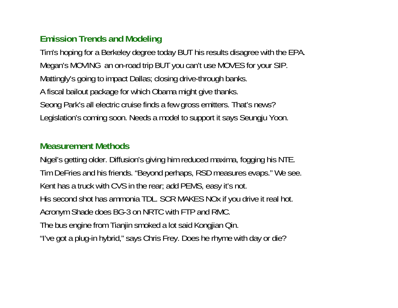## **Emission Trends and Modeling**

Tim's hoping for a Berkeley degree today BUT his results disagree with the EPA. Megan's MOVING an on-road trip BUT you can't use MOVES for your SIP. Mattingly's going to impact Dallas; closing drive-through banks. A fiscal bailout package for which Obama might give thanks. Seong Park's all electric cruise finds a few gross emitters. That's news? Legislation's coming soon. Needs a model to support it says Seungju Yoon.

## **Measurement Methods**

Nigel's getting older. Diffusion's giving him reduced maxima, fogging his NTE. Tim DeFries and his friends. "Beyond perhaps, RSD measures evaps." We see. Kent has a truck with CVS in the rear; add PEMS, easy it's not. His second shot has ammonia TDL. SCR MAKES NOx if you drive it real hot. Acronym Shade does BG-3 on NRTC with FTP and RMC. The bus engine from Tianjin smoked a lot said Kongjian Qin. "I've got a plug-in hybrid," says Chris Frey. Does he rhyme with day or die?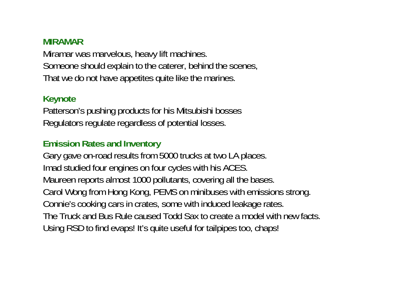#### **MIRAMAR**

Miramar was marvelous, heavy lift machines. Someone should explain to the caterer, behind the scenes, That we do not have appetites quite like the marines.

#### **Keynote**

Patterson's pushing products for his Mitsubishi bosses Regulators regulate regardless of potential losses.

## **Emission Rates and Inventory**

Gary gave on-road results from 5000 trucks at two LA places. Imad studied four engines on four cycles with his ACES. Maureen reports almost 1000 pollutants, covering all the bases. Carol Wong from Hong Kong, PEMS on minibuses with emissions strong. Connie's cooking cars in crates, some with induced leakage rates. The Truck and Bus Rule caused Todd Sax to create a model with new facts.Using RSD to find evaps! It's quite useful for tailpipes too, chaps!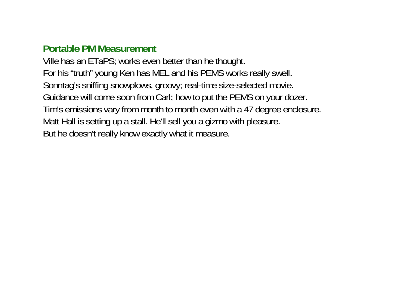# **Portable PM Measurement**

Ville has an ETaPS; works even better than he thought. For his "truth" young Ken has MEL and his PEMS works really swell. Sonntag's sniffing snowplows, groovy; real-time size-selected movie. Guidance will come soon from Carl; how to put the PEMS on your dozer. Tim's emissions vary from month to month even with a 47 degree enclosure. Matt Hall is setting up a stall. He'll sell you a gizmo with pleasure. But he doesn't really know exactly what it measure.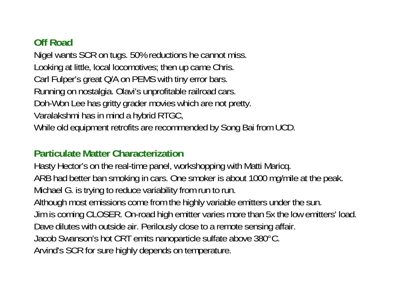# **Off Road**

Nigel wants SCR on tugs. 50% reductions he cannot miss. Looking at little, local locomotives; then up came Chris. Carl Fulper's great Q/A on PEMS with tiny error bars. Running on nostalgia. Olavi's unprofitable railroad cars. Doh-Won Lee has gritty grader movies which are not pretty. Varalakshmi has in mind a hybrid RTGC, While old equipment retrofits are recommended by Song Bai from UCD.

# **Particulate Matter Characterization**

Hasty Hector's on the real-time panel, workshopping with Matti Maricq. ARB had better ban smoking in cars. One smoker is about 1000 mg/mile at the peak. Michael G. is trying to reduce variability from run to run. Although most emissions come from the highly variable emitters under the sun. Jim is coming CLOSER. On-road high emitter varies more than 5x the low emitters' load. Dave dilutes with outside air. Perilously close to a remote sensing affair. Jacob Swanson's hot CRT emits nanoparticle sulfate above 380°C. Arvind's SCR for sure highly depends on temperature.